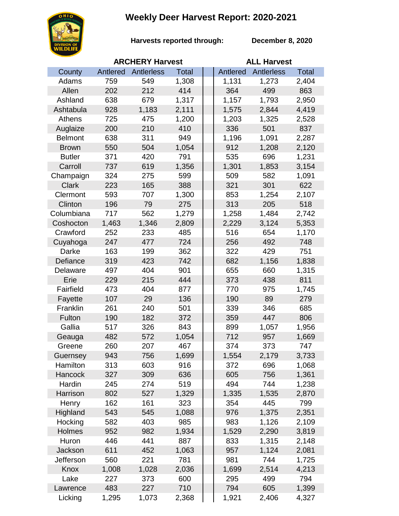## **Weekly Deer Harvest Report: 2020-2021**



**Harvests reported through:** 

**December 8, 2020**

|                | <b>ARCHERY Harvest</b> |            |              | <b>ALL Harvest</b> |            |              |  |
|----------------|------------------------|------------|--------------|--------------------|------------|--------------|--|
| County         | Antlered               | Antlerless | <b>Total</b> | Antlered           | Antlerless | <b>Total</b> |  |
| Adams          | 759                    | 549        | 1,308        | 1,131              | 1,273      | 2,404        |  |
| Allen          | 202                    | 212        | 414          | 364                | 499        | 863          |  |
| Ashland        | 638                    | 679        | 1,317        | 1,157              | 1,793      | 2,950        |  |
| Ashtabula      | 928                    | 1,183      | 2,111        | 1,575              | 2,844      | 4,419        |  |
| Athens         | 725                    | 475        | 1,200        | 1,203              | 1,325      | 2,528        |  |
| Auglaize       | 200                    | 210        | 410          | 336                | 501        | 837          |  |
| <b>Belmont</b> | 638                    | 311        | 949          | 1,196              | 1,091      | 2,287        |  |
| <b>Brown</b>   | 550                    | 504        | 1,054        | 912                | 1,208      | 2,120        |  |
| <b>Butler</b>  | 371                    | 420        | 791          | 535                | 696        | 1,231        |  |
| Carroll        | 737                    | 619        | 1,356        | 1,301              | 1,853      | 3,154        |  |
| Champaign      | 324                    | 275        | 599          | 509                | 582        | 1,091        |  |
| <b>Clark</b>   | 223                    | 165        | 388          | 321                | 301        | 622          |  |
| Clermont       | 593                    | 707        | 1,300        | 853                | 1,254      | 2,107        |  |
| Clinton        | 196                    | 79         | 275          | 313                | 205        | 518          |  |
| Columbiana     | 717                    | 562        | 1,279        | 1,258              | 1,484      | 2,742        |  |
| Coshocton      | 1,463                  | 1,346      | 2,809        | 2,229              | 3,124      | 5,353        |  |
| Crawford       | 252                    | 233        | 485          | 516                | 654        | 1,170        |  |
| Cuyahoga       | 247                    | 477        | 724          | 256                | 492        | 748          |  |
| Darke          | 163                    | 199        | 362          | 322                | 429        | 751          |  |
| Defiance       | 319                    | 423        | 742          | 682                | 1,156      | 1,838        |  |
| Delaware       | 497                    | 404        | 901          | 655                | 660        | 1,315        |  |
| Erie           | 229                    | 215        | 444          | 373                | 438        | 811          |  |
| Fairfield      | 473                    | 404        | 877          | 770                | 975        | 1,745        |  |
| Fayette        | 107                    | 29         | 136          | 190                | 89         | 279          |  |
| Franklin       | 261                    | 240        | 501          | 339                | 346        | 685          |  |
| Fulton         | 190                    | 182        | 372          | 359                | 447        | 806          |  |
| Gallia         | 517                    | 326        | 843          | 899                | 1,057      | 1,956        |  |
| Geauga         | 482                    | 572        | 1,054        | 712                | 957        | 1,669        |  |
| Greene         | 260                    | 207        | 467          | 374                | 373        | 747          |  |
| Guernsey       | 943                    | 756        | 1,699        | 1,554              | 2,179      | 3,733        |  |
| Hamilton       | 313                    | 603        | 916          | 372                | 696        | 1,068        |  |
| Hancock        | 327                    | 309        | 636          | 605                | 756        | 1,361        |  |
| Hardin         | 245                    | 274        | 519          | 494                | 744        | 1,238        |  |
| Harrison       | 802                    | 527        | 1,329        | 1,335              | 1,535      | 2,870        |  |
| Henry          | 162                    | 161        | 323          | 354                | 445        | 799          |  |
| Highland       | 543                    | 545        | 1,088        | 976                | 1,375      | 2,351        |  |
| Hocking        | 582                    | 403        | 985          | 983                | 1,126      | 2,109        |  |
| Holmes         | 952                    | 982        | 1,934        | 1,529              | 2,290      | 3,819        |  |
| Huron          | 446                    | 441        | 887          | 833                | 1,315      | 2,148        |  |
| Jackson        | 611                    | 452        | 1,063        | 957                | 1,124      | 2,081        |  |
| Jefferson      | 560                    | 221        | 781          | 981                | 744        | 1,725        |  |
| Knox           | 1,008                  | 1,028      | 2,036        | 1,699              | 2,514      | 4,213        |  |
| Lake           | 227                    | 373        | 600          | 295                | 499        | 794          |  |
| Lawrence       | 483                    | 227        | 710          | 794                | 605        | 1,399        |  |
| Licking        | 1,295                  | 1,073      | 2,368        | 1,921              | 2,406      | 4,327        |  |